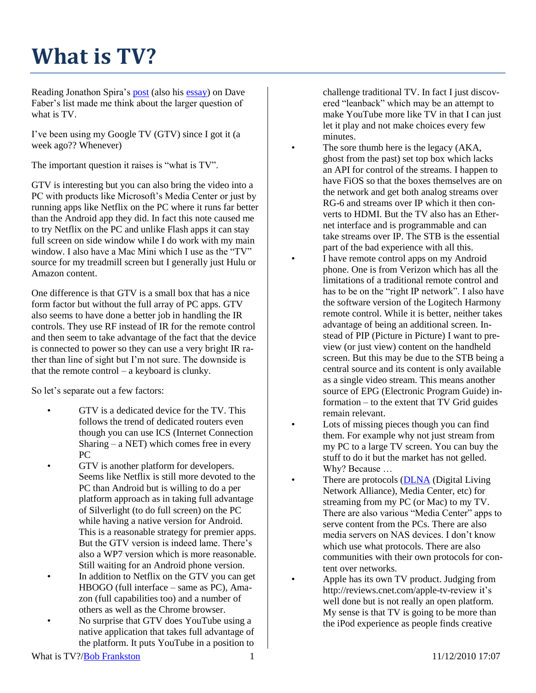## **What is TV?**

Reading Jonathon Spira's [post](http://www.listbox.com/member/archive/247/2010/11/sort/time_rev/page/1/entry/1:52/20101112121519:6DB361AA-EE80-11DF-8DE1-B6FFC5F4DBAC/) (also his [essay\)](http://www.executiveroadwarrior.com/2010/11/logitech-revue-with-google-tv-review-and-test-drive/) on Dave Faber's list made me think about the larger question of what is TV.

I've been using my Google TV (GTV) since I got it (a week ago?? Whenever)

The important question it raises is "what is TV".

GTV is interesting but you can also bring the video into a PC with products like Microsoft's Media Center or just by running apps like Netflix on the PC where it runs far better than the Android app they did. In fact this note caused me to try Netflix on the PC and unlike Flash apps it can stay full screen on side window while I do work with my main window. I also have a Mac Mini which I use as the "TV" source for my treadmill screen but I generally just Hulu or Amazon content.

One difference is that GTV is a small box that has a nice form factor but without the full array of PC apps. GTV also seems to have done a better job in handling the IR controls. They use RF instead of IR for the remote control and then seem to take advantage of the fact that the device is connected to power so they can use a very bright IR rather than line of sight but I'm not sure. The downside is that the remote control – a keyboard is clunky.

So let's separate out a few factors:

- GTV is a dedicated device for the TV. This follows the trend of dedicated routers even though you can use ICS (Internet Connection Sharing  $-$  a NET) which comes free in every PC
- GTV is another platform for developers. Seems like Netflix is still more devoted to the PC than Android but is willing to do a per platform approach as in taking full advantage of Silverlight (to do full screen) on the PC while having a native version for Android. This is a reasonable strategy for premier apps. But the GTV version is indeed lame. There's also a WP7 version which is more reasonable. Still waiting for an Android phone version.
- In addition to Netflix on the GTV you can get HBOGO (full interface – same as PC), Amazon (full capabilities too) and a number of others as well as the Chrome browser.
- No surprise that GTV does YouTube using a native application that takes full advantage of the platform. It puts YouTube in a position to

challenge traditional TV. In fact I just discovered "leanback" which may be an attempt to make YouTube more like TV in that I can just let it play and not make choices every few minutes.

- The sore thumb here is the legacy (AKA, ghost from the past) set top box which lacks an API for control of the streams. I happen to have FiOS so that the boxes themselves are on the network and get both analog streams over RG-6 and streams over IP which it then converts to HDMI. But the TV also has an Ethernet interface and is programmable and can take streams over IP. The STB is the essential part of the bad experience with all this.
- I have remote control apps on my Android phone. One is from Verizon which has all the limitations of a traditional remote control and has to be on the "right IP network". I also have the software version of the Logitech Harmony remote control. While it is better, neither takes advantage of being an additional screen. Instead of PIP (Picture in Picture) I want to preview (or just view) content on the handheld screen. But this may be due to the STB being a central source and its content is only available as a single video stream. This means another source of EPG (Electronic Program Guide) information – to the extent that TV Grid guides remain relevant.
- Lots of missing pieces though you can find them. For example why not just stream from my PC to a large TV screen. You can buy the stuff to do it but the market has not gelled. Why? Because …
- There are protocols [\(DLNA](http://www.dlna.org/) (Digital Living) Network Alliance), Media Center, etc) for streaming from my PC (or Mac) to my TV. There are also various "Media Center" apps to serve content from the PCs. There are also media servers on NAS devices. I don't know which use what protocols. There are also communities with their own protocols for content over networks.
- Apple has its own TV product. Judging from http://reviews.cnet.com/apple-tv-review it's well done but is not really an open platform. My sense is that TV is going to be more than the iPod experience as people finds creative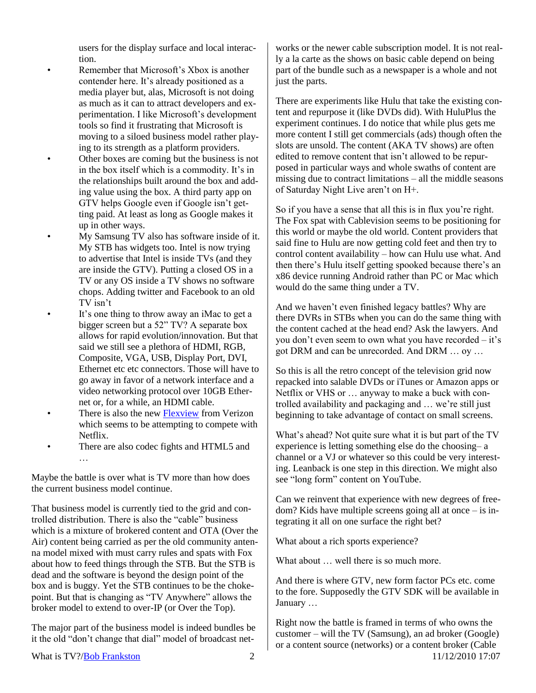users for the display surface and local interaction.

- Remember that Microsoft's Xbox is another contender here. It's already positioned as a media player but, alas, Microsoft is not doing as much as it can to attract developers and experimentation. I like Microsoft's development tools so find it frustrating that Microsoft is moving to a siloed business model rather playing to its strength as a platform providers.
- Other boxes are coming but the business is not in the box itself which is a commodity. It's in the relationships built around the box and adding value using the box. A third party app on GTV helps Google even if Google isn't getting paid. At least as long as Google makes it up in other ways.
- My Samsung TV also has software inside of it. My STB has widgets too. Intel is now trying to advertise that Intel is inside TVs (and they are inside the GTV). Putting a closed OS in a TV or any OS inside a TV shows no software chops. Adding twitter and Facebook to an old TV isn't
- It's one thing to throw away an iMac to get a bigger screen but a 52" TV? A separate box allows for rapid evolution/innovation. But that said we still see a plethora of HDMI, RGB, Composite, VGA, USB, Display Port, DVI, Ethernet etc etc connectors. Those will have to go away in favor of a network interface and a video networking protocol over 10GB Ethernet or, for a while, an HDMI cable.
- There is also the new [Flexview](http://www.myverizon.com/AboutFlexview) from Verizon which seems to be attempting to compete with Netflix.
- There are also codec fights and HTML5 and …

Maybe the battle is over what is TV more than how does the current business model continue.

That business model is currently tied to the grid and controlled distribution. There is also the "cable" business which is a mixture of brokered content and OTA (Over the Air) content being carried as per the old community antenna model mixed with must carry rules and spats with Fox about how to feed things through the STB. But the STB is dead and the software is beyond the design point of the box and is buggy. Yet the STB continues to be the chokepoint. But that is changing as "TV Anywhere" allows the broker model to extend to over-IP (or Over the Top).

The major part of the business model is indeed bundles be it the old "don't change that dial" model of broadcast net-

works or the newer cable subscription model. It is not really a la carte as the shows on basic cable depend on being part of the bundle such as a newspaper is a whole and not just the parts.

There are experiments like Hulu that take the existing content and repurpose it (like DVDs did). With HuluPlus the experiment continues. I do notice that while plus gets me more content I still get commercials (ads) though often the slots are unsold. The content (AKA TV shows) are often edited to remove content that isn't allowed to be repurposed in particular ways and whole swaths of content are missing due to contract limitations – all the middle seasons of Saturday Night Live aren't on H+.

So if you have a sense that all this is in flux you're right. The Fox spat with Cablevision seems to be positioning for this world or maybe the old world. Content providers that said fine to Hulu are now getting cold feet and then try to control content availability – how can Hulu use what. And then there's Hulu itself getting spooked because there's an x86 device running Android rather than PC or Mac which would do the same thing under a TV.

And we haven't even finished legacy battles? Why are there DVRs in STBs when you can do the same thing with the content cached at the head end? Ask the lawyers. And you don't even seem to own what you have recorded – it's got DRM and can be unrecorded. And DRM … oy …

So this is all the retro concept of the television grid now repacked into salable DVDs or iTunes or Amazon apps or Netflix or VHS or … anyway to make a buck with controlled availability and packaging and … we're still just beginning to take advantage of contact on small screens.

What's ahead? Not quite sure what it is but part of the TV experience is letting something else do the choosing– a channel or a VJ or whatever so this could be very interesting. Leanback is one step in this direction. We might also see "long form" content on YouTube.

Can we reinvent that experience with new degrees of freedom? Kids have multiple screens going all at once – is integrating it all on one surface the right bet?

What about a rich sports experience?

What about  $\ldots$  well there is so much more.

And there is where GTV, new form factor PCs etc. come to the fore. Supposedly the GTV SDK will be available in January …

What is TV?/Bob Frankston 2 2 11/12/2010 17:07 Right now the battle is framed in terms of who owns the customer – will the TV (Samsung), an ad broker (Google) or a content source (networks) or a content broker (Cable